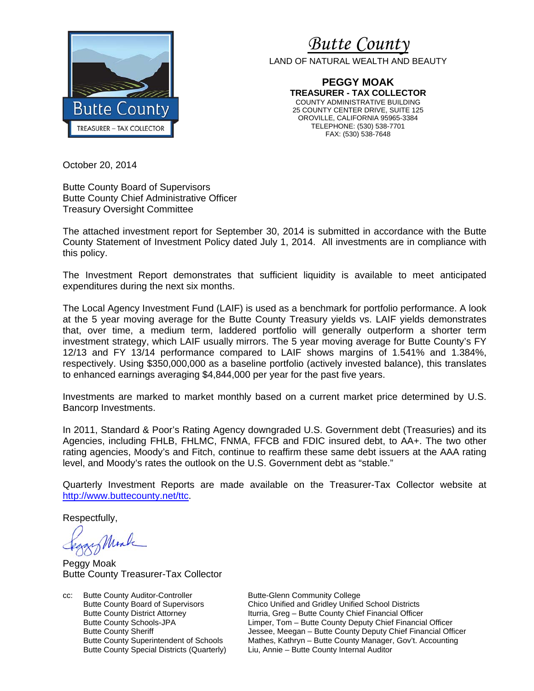

*Butte Count* 

LAND OF NATURAL WEALTH AND BEAUTY

**PEGGY MOAK TREASURER - TAX COLLECTOR**  COUNTY ADMINISTRATIVE BUILDING 25 COUNTY CENTER DRIVE, SUITE 125 OROVILLE, CALIFORNIA 95965-3384 TELEPHONE: (530) 538-7701 FAX: (530) 538-7648

October 20, 2014

Butte County Board of Supervisors Butte County Chief Administrative Officer Treasury Oversight Committee

The attached investment report for September 30, 2014 is submitted in accordance with the Butte County Statement of Investment Policy dated July 1, 2014. All investments are in compliance with this policy.

The Investment Report demonstrates that sufficient liquidity is available to meet anticipated expenditures during the next six months.

The Local Agency Investment Fund (LAIF) is used as a benchmark for portfolio performance. A look at the 5 year moving average for the Butte County Treasury yields vs. LAIF yields demonstrates that, over time, a medium term, laddered portfolio will generally outperform a shorter term investment strategy, which LAIF usually mirrors. The 5 year moving average for Butte County's FY 12/13 and FY 13/14 performance compared to LAIF shows margins of 1.541% and 1.384%, respectively. Using \$350,000,000 as a baseline portfolio (actively invested balance), this translates to enhanced earnings averaging \$4,844,000 per year for the past five years.

Investments are marked to market monthly based on a current market price determined by U.S. Bancorp Investments.

In 2011, Standard & Poor's Rating Agency downgraded U.S. Government debt (Treasuries) and its Agencies, including FHLB, FHLMC, FNMA, FFCB and FDIC insured debt, to AA+. The two other rating agencies, Moody's and Fitch, continue to reaffirm these same debt issuers at the AAA rating level, and Moody's rates the outlook on the U.S. Government debt as "stable."

Quarterly Investment Reports are made available on the Treasurer-Tax Collector website at http://www.buttecounty.net/ttc.

Respectfully,

Mark

Peggy Moak Butte County Treasurer-Tax Collector

cc: Butte County Auditor-Controller Butte-Glenn Community College<br>Butte County Board of Supervisors Chico Unified and Gridley Unified

Butte County Board of Supervisors Chico Unified and Gridley Unified School Districts<br>Butte County District Attorney Iturria, Greg - Butte County Chief Financial Officer Iturria, Greg – Butte County Chief Financial Officer Butte County Schools-JPA Limper, Tom – Butte County Deputy Chief Financial Officer Butte County Sheriff **Sheriff** Jessee, Meegan – Butte County Deputy Chief Financial Officer Butte County Superintendent of Schools Mathes, Kathryn – Butte County Manager, Gov't. Accounting Butte County Special Districts (Quarterly) Liu, Annie – Butte County Internal Auditor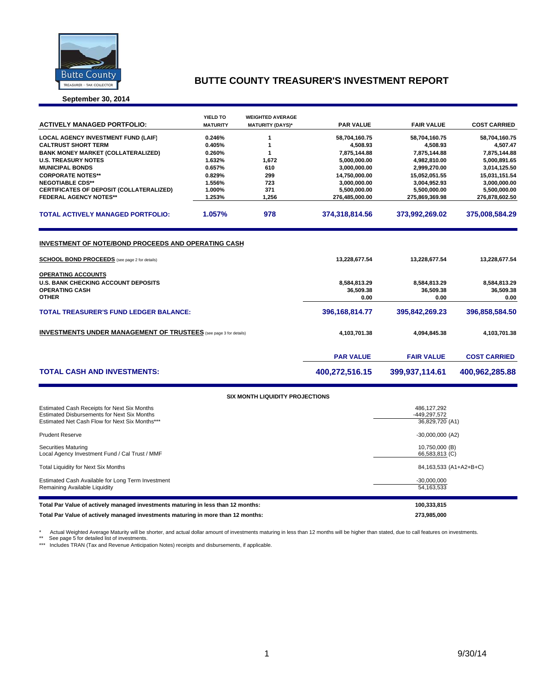

# **BUTTE COUNTY TREASURER'S INVESTMENT REPORT**

#### **September 30, 2014**

| <b>ACTIVELY MANAGED PORTFOLIO:</b>                                                                                                                                       | <b>YIELD TO</b><br><b>MATURITY</b> | <b>WEIGHTED AVERAGE</b><br><b>MATURITY (DAYS)*</b> | <b>PAR VALUE</b>                                   | <b>FAIR VALUE</b>                                  | <b>COST CARRIED</b>                                |
|--------------------------------------------------------------------------------------------------------------------------------------------------------------------------|------------------------------------|----------------------------------------------------|----------------------------------------------------|----------------------------------------------------|----------------------------------------------------|
| <b>LOCAL AGENCY INVESTMENT FUND (LAIF)</b>                                                                                                                               | 0.246%                             |                                                    | 58,704,160.75                                      | 58,704,160.75                                      | 58,704,160.75                                      |
| <b>CALTRUST SHORT TERM</b>                                                                                                                                               | 0.405%                             |                                                    | 4.508.93                                           | 4,508.93                                           | 4,507.47                                           |
| <b>BANK MONEY MARKET (COLLATERALIZED)</b>                                                                                                                                | 0.260%                             |                                                    | 7,875,144.88                                       | 7,875,144.88                                       | 7,875,144.88                                       |
| <b>U.S. TREASURY NOTES</b>                                                                                                                                               | 1.632%                             | 1,672                                              | 5,000,000.00                                       | 4,982,810.00                                       | 5,000,891.65                                       |
| <b>MUNICIPAL BONDS</b>                                                                                                                                                   | 0.657%                             | 610                                                | 3,000,000.00                                       | 2,999,270.00                                       | 3,014,125.50                                       |
| <b>CORPORATE NOTES**</b>                                                                                                                                                 | 0.829%                             | 299                                                | 14,750,000.00                                      | 15,052,051.55                                      | 15,031,151.54                                      |
| <b>NEGOTIABLE CDS**</b>                                                                                                                                                  | 1.556%                             | 723                                                | 3,000,000.00                                       | 3,004,952.93                                       | 3,000,000.00                                       |
| <b>CERTIFICATES OF DEPOSIT (COLLATERALIZED)</b>                                                                                                                          | 1.000%                             | 371                                                | 5,500,000.00                                       | 5,500,000.00                                       | 5,500,000.00                                       |
| <b>FEDERAL AGENCY NOTES**</b>                                                                                                                                            | 1.253%                             | 1,256                                              | 276,485,000.00                                     | 275,869,369.98                                     | 276,878,602.50                                     |
| <b>TOTAL ACTIVELY MANAGED PORTFOLIO:</b>                                                                                                                                 | 1.057%                             | 978                                                | 374,318,814.56                                     | 373,992,269.02                                     | 375,008,584.29                                     |
| <b>SCHOOL BOND PROCEEDS</b> (see page 2 for details)<br><b>OPERATING ACCOUNTS</b><br><b>U.S. BANK CHECKING ACCOUNT DEPOSITS</b><br><b>OPERATING CASH</b><br><b>OTHER</b> |                                    |                                                    | 13,228,677.54<br>8,584,813.29<br>36,509.38<br>0.00 | 13,228,677.54<br>8,584,813.29<br>36.509.38<br>0.00 | 13,228,677.54<br>8,584,813.29<br>36,509.38<br>0.00 |
| <b>TOTAL TREASURER'S FUND LEDGER BALANCE:</b>                                                                                                                            |                                    | 396,168,814.77                                     | 395.842.269.23                                     | 396.858.584.50                                     |                                                    |
| <b>INVESTMENTS UNDER MANAGEMENT OF TRUSTEES</b> (see page 3 for details)                                                                                                 |                                    | 4,103,701.38                                       | 4,094,845.38                                       | 4,103,701.38                                       |                                                    |
|                                                                                                                                                                          |                                    |                                                    | <b>PAR VALUE</b>                                   | <b>FAIR VALUE</b>                                  | <b>COST CARRIED</b>                                |
| <b>TOTAL CASH AND INVESTMENTS:</b>                                                                                                                                       |                                    |                                                    | 400,272,516.15                                     | 399,937,114.61                                     | 400,962,285.88                                     |

| <b>SIX MONTH LIQUIDITY PROJECTIONS</b>                                                                                                       |                                                |  |  |  |  |  |  |
|----------------------------------------------------------------------------------------------------------------------------------------------|------------------------------------------------|--|--|--|--|--|--|
| Estimated Cash Receipts for Next Six Months<br>Estimated Disbursements for Next Six Months<br>Estimated Net Cash Flow for Next Six Months*** | 486,127,292<br>-449.297.572<br>36,829,720 (A1) |  |  |  |  |  |  |
| <b>Prudent Reserve</b>                                                                                                                       | $-30,000,000$ (A2)                             |  |  |  |  |  |  |
| <b>Securities Maturing</b><br>Local Agency Investment Fund / Cal Trust / MMF                                                                 | 10,750,000 (B)<br>66,583,813 (C)               |  |  |  |  |  |  |
| Total Liquidity for Next Six Months                                                                                                          | 84,163,533 (A1+A2+B+C)                         |  |  |  |  |  |  |
| Estimated Cash Available for Long Term Investment<br>Remaining Available Liquidity                                                           | $-30,000,000$<br>54.163.533                    |  |  |  |  |  |  |
| Total Par Value of actively managed investments maturing in less than 12 months:                                                             | 100,333,815                                    |  |  |  |  |  |  |
| Total Par Value of actively managed investments maturing in more than 12 months:                                                             | 273.985.000                                    |  |  |  |  |  |  |

\* Actual Weighted Average Maturity will be shorter, and actual dollar amount of investments maturing in less than 12 months will be higher than stated, due to call features on investments.<br>\*\* See page 5 for detailed list o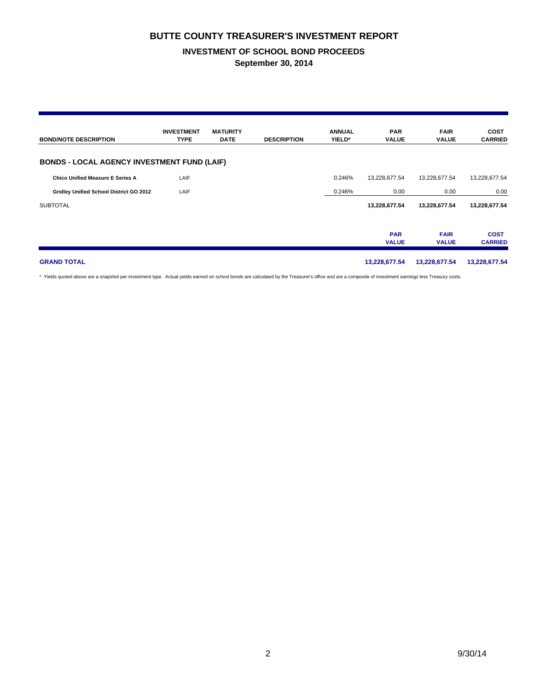## **BUTTE COUNTY TREASURER'S INVESTMENT REPORT**

### **INVESTMENT OF SCHOOL BOND PROCEEDS September 30, 2014**

| <b>BOND/NOTE DESCRIPTION</b>                       | <b>INVESTMENT</b><br><b>TYPE</b> | <b>MATURITY</b><br><b>DATE</b> | <b>DESCRIPTION</b> | <b>ANNUAL</b><br>YIELD* | <b>PAR</b><br><b>VALUE</b> | <b>FAIR</b><br><b>VALUE</b> | <b>COST</b><br><b>CARRIED</b> |
|----------------------------------------------------|----------------------------------|--------------------------------|--------------------|-------------------------|----------------------------|-----------------------------|-------------------------------|
| <b>BONDS - LOCAL AGENCY INVESTMENT FUND (LAIF)</b> |                                  |                                |                    |                         |                            |                             |                               |
| <b>Chico Unified Measure E Series A</b>            | LAIF                             |                                |                    | 0.246%                  | 13,228,677.54              | 13,228,677.54               | 13,228,677.54                 |
| Gridley Unified School District GO 2012            | LAIF                             |                                |                    | 0.246%                  | 0.00                       | 0.00                        | 0.00                          |
| <b>SUBTOTAL</b>                                    |                                  |                                |                    |                         | 13,228,677.54              | 13,228,677.54               | 13,228,677.54                 |
|                                                    |                                  |                                |                    |                         | <b>PAR</b><br><b>VALUE</b> | <b>FAIR</b><br><b>VALUE</b> | <b>COST</b><br><b>CARRIED</b> |
| <b>GRAND TOTAL</b>                                 |                                  |                                |                    |                         | 13,228,677.54              | 13,228,677.54               | 13,228,677.54                 |

\* Yields quoted above are a snapshot per investment type. Actual yields earned on school bonds are calculated by the Treasurer's office and are a composite of investment earnings less Treasury costs.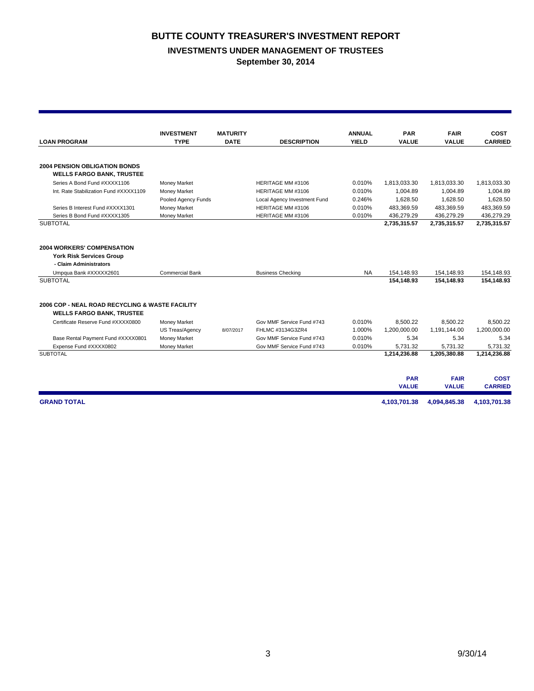## **BUTTE COUNTY TREASURER'S INVESTMENT REPORT**

## **INVESTMENTS UNDER MANAGEMENT OF TRUSTEES**

**September 30, 2014**

|                                                 | <b>INVESTMENT</b>      | <b>MATURITY</b> |                              | <b>ANNUAL</b> | <b>PAR</b>   | <b>FAIR</b>  | <b>COST</b>    |
|-------------------------------------------------|------------------------|-----------------|------------------------------|---------------|--------------|--------------|----------------|
| <b>LOAN PROGRAM</b>                             | <b>TYPE</b>            | <b>DATE</b>     | <b>DESCRIPTION</b>           | <b>YIELD</b>  | <b>VALUE</b> | <b>VALUE</b> | <b>CARRIED</b> |
|                                                 |                        |                 |                              |               |              |              |                |
| <b>2004 PENSION OBLIGATION BONDS</b>            |                        |                 |                              |               |              |              |                |
| <b>WELLS FARGO BANK, TRUSTEE</b>                |                        |                 |                              |               |              |              |                |
| Series A Bond Fund #XXXX1106                    | <b>Money Market</b>    |                 | HERITAGE MM #3106            | 0.010%        | 1,813,033.30 | 1,813,033.30 | 1.813.033.30   |
| Int. Rate Stabilization Fund #XXXX1109          | Money Market           |                 | HERITAGE MM #3106            | 0.010%        | 1,004.89     | 1,004.89     | 1,004.89       |
|                                                 | Pooled Agency Funds    |                 | Local Agency Investment Fund | 0.246%        | 1,628.50     | 1,628.50     | 1,628.50       |
| Series B Interest Fund #XXXX1301                | Money Market           |                 | HERITAGE MM #3106            | 0.010%        | 483,369.59   | 483,369.59   | 483,369.59     |
| Series B Bond Fund #XXXX1305                    | Money Market           |                 | HERITAGE MM #3106            | 0.010%        | 436,279.29   | 436,279.29   | 436,279.29     |
| <b>SUBTOTAL</b>                                 |                        |                 |                              |               | 2,735,315.57 | 2,735,315.57 | 2,735,315.57   |
|                                                 |                        |                 |                              |               |              |              |                |
| <b>2004 WORKERS' COMPENSATION</b>               |                        |                 |                              |               |              |              |                |
| <b>York Risk Services Group</b>                 |                        |                 |                              |               |              |              |                |
| - Claim Administrators                          |                        |                 |                              |               |              |              |                |
| Umpqua Bank #XXXXX2601                          | <b>Commercial Bank</b> |                 | <b>Business Checking</b>     | <b>NA</b>     | 154,148.93   | 154,148.93   | 154,148.93     |
| <b>SUBTOTAL</b>                                 |                        |                 |                              |               | 154.148.93   | 154,148.93   | 154,148.93     |
| 2006 COP - NEAL ROAD RECYCLING & WASTE FACILITY |                        |                 |                              |               |              |              |                |
| <b>WELLS FARGO BANK, TRUSTEE</b>                |                        |                 |                              |               |              |              |                |
| Certificate Reserve Fund #XXXX0800              | <b>Money Market</b>    |                 | Gov MMF Service Fund #743    | 0.010%        | 8.500.22     | 8.500.22     | 8.500.22       |
|                                                 | US Treas/Agency        | 8/07/2017       | FHLMC #3134G3ZR4             | 1.000%        | 1.200.000.00 | 1,191,144.00 | 1,200,000.00   |
| Base Rental Payment Fund #XXXX0801              | Money Market           |                 | Gov MMF Service Fund #743    | 0.010%        | 5.34         | 5.34         | 5.34           |
| Expense Fund #XXXX0802                          | Money Market           |                 | Gov MMF Service Fund #743    | 0.010%        | 5,731.32     | 5,731.32     | 5,731.32       |
| <b>SUBTOTAL</b>                                 |                        |                 |                              |               | 1,214,236.88 | 1,205,380.88 | 1,214,236.88   |
|                                                 |                        |                 |                              |               |              |              |                |
|                                                 |                        |                 |                              |               | <b>PAR</b>   | <b>FAIR</b>  | <b>COST</b>    |
|                                                 |                        |                 |                              |               | <b>VALUE</b> | <b>VALUE</b> | <b>CARRIED</b> |
| <b>GRAND TOTAL</b>                              |                        |                 |                              |               | 4,103,701.38 | 4,094,845.38 | 4,103,701.38   |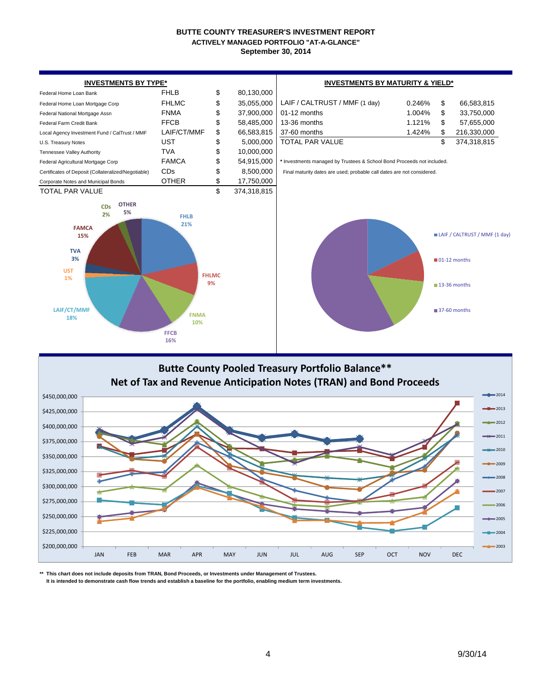### **BUTTE COUNTY TREASURER'S INVESTMENT REPORT September 30, 2014 ACTIVELY MANAGED PORTFOLIO "AT-A-GLANCE"**





**\*\* This chart does not include deposits from TRAN, Bond Proceeds, or Investments under Management of Trustees.**

 **It is intended to demonstrate cash flow trends and establish a baseline for the portfolio, enabling medium term investments.**